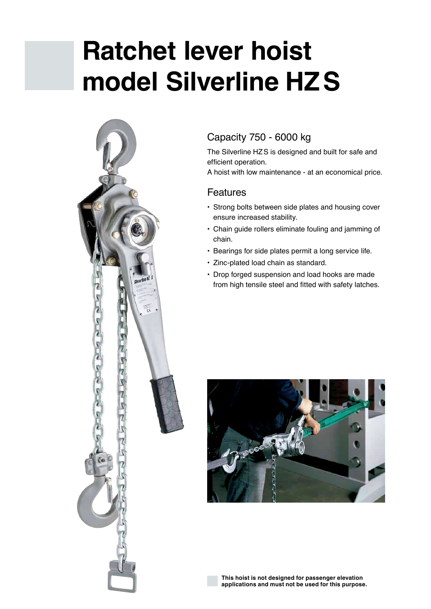# **Ratchet lever hoist model Silverline HZS**



### Capacity 750 - 6000 kg

The Silverline HZS is designed and built for safe and efficient operation.

A hoist with low maintenance - at an economical price.

#### Features

- Strong bolts between side plates and housing cover ensure increased stability.
- Chain guide rollers eliminate fouling and jamming of chain.
- Bearings for side plates permit a long service life.
- Zinc-plated load chain as standard.
- Drop forged suspension and load hooks are made from high tensile steel and fitted with safety latches.